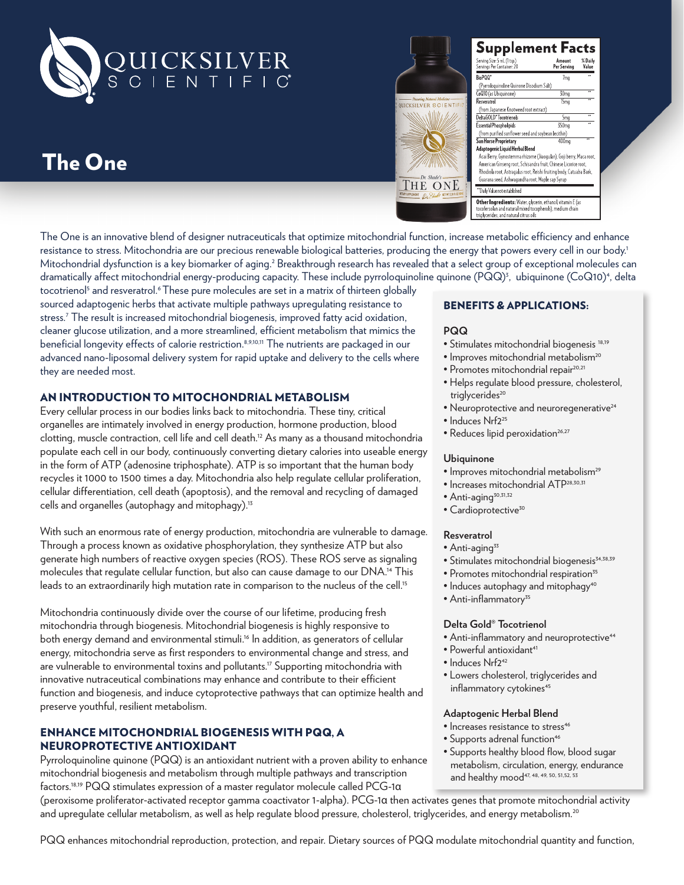

# The One



| Serving Size: 5 mL (1 tsp.)<br>Servings Per Container: 20                                                                                                                                                                                                                                          | Amount<br>Per Serving | % Daily<br>Value |
|----------------------------------------------------------------------------------------------------------------------------------------------------------------------------------------------------------------------------------------------------------------------------------------------------|-----------------------|------------------|
| BioPQQ <sup>®</sup>                                                                                                                                                                                                                                                                                | 7 <sub>mg</sub>       |                  |
| (Pyrroloquinoline Quinone Disodium Salt)                                                                                                                                                                                                                                                           |                       |                  |
| CoQ10 (as Ubiquinone)                                                                                                                                                                                                                                                                              | 30 <sub>ma</sub>      |                  |
| Resveratro                                                                                                                                                                                                                                                                                         | 15 <sub>mg</sub>      |                  |
| (from Japanese Knotweed root extract)                                                                                                                                                                                                                                                              |                       |                  |
| DeltaGOLD <sup>®</sup> Tocotrienols                                                                                                                                                                                                                                                                | 5 <sub>mq</sub>       | ٠.               |
| <b>Essential Phospholipids</b>                                                                                                                                                                                                                                                                     | 350 <sub>mg</sub>     |                  |
| (from purified sunflower seed and soybean lecithin)                                                                                                                                                                                                                                                |                       |                  |
| Sun Horse Proprietary                                                                                                                                                                                                                                                                              | 400ma                 |                  |
| Adaptogenic Liquid Herbal Blend<br>Acai Berry, Gynostemma rhizome (Jiaoqulan), Goji berry, Maca root,<br>American Ginseng root, Schisandra fruit, Chinese Licorice root,<br>Rhodiola root, Astragalus root, Reishi fruiting body, Catuaba Bark,<br>Guarana seed, Ashwagandha root, Maple sap Syrup |                       |                  |
| ""Daily Value not established                                                                                                                                                                                                                                                                      |                       |                  |

The One is an innovative blend of designer nutraceuticals that optimize mitochondrial function, increase metabolic efficiency and enhance resistance to stress. Mitochondria are our precious renewable biological batteries, producing the energy that powers every cell in our body.<sup>1</sup> Mitochondrial dysfunction is a key biomarker of aging.<sup>2</sup> Breakthrough research has revealed that a select group of exceptional molecules can dramatically affect mitochondrial energy-producing capacity. These include pyrroloquinoline quinone (PQQ)<sup>3</sup>, ubiquinone (CoQ10)<sup>4</sup>, delta

tocotrienol<sup>5</sup> and resveratrol.<sup>6</sup> These pure molecules are set in a matrix of thirteen globally sourced adaptogenic herbs that activate multiple pathways upregulating resistance to stress.7 The result is increased mitochondrial biogenesis, improved fatty acid oxidation, cleaner glucose utilization, and a more streamlined, efficient metabolism that mimics the beneficial longevity effects of calorie restriction.<sup>8,9,10,11</sup> The nutrients are packaged in our advanced nano-liposomal delivery system for rapid uptake and delivery to the cells where they are needed most.

## AN INTRODUCTION TO MITOCHONDRIAL METABOLISM

Every cellular process in our bodies links back to mitochondria. These tiny, critical organelles are intimately involved in energy production, hormone production, blood clotting, muscle contraction, cell life and cell death.12 As many as a thousand mitochondria populate each cell in our body, continuously converting dietary calories into useable energy in the form of ATP (adenosine triphosphate). ATP is so important that the human body recycles it 1000 to 1500 times a day. Mitochondria also help regulate cellular proliferation, cellular differentiation, cell death (apoptosis), and the removal and recycling of damaged cells and organelles (autophagy and mitophagy).13

With such an enormous rate of energy production, mitochondria are vulnerable to damage. Through a process known as oxidative phosphorylation, they synthesize ATP but also generate high numbers of reactive oxygen species (ROS). These ROS serve as signaling molecules that regulate cellular function, but also can cause damage to our DNA.14 This leads to an extraordinarily high mutation rate in comparison to the nucleus of the cell.<sup>15</sup>

Mitochondria continuously divide over the course of our lifetime, producing fresh mitochondria through biogenesis. Mitochondrial biogenesis is highly responsive to both energy demand and environmental stimuli.<sup>16</sup> In addition, as generators of cellular energy, mitochondria serve as first responders to environmental change and stress, and are vulnerable to environmental toxins and pollutants.<sup>17</sup> Supporting mitochondria with innovative nutraceutical combinations may enhance and contribute to their efficient function and biogenesis, and induce cytoprotective pathways that can optimize health and preserve youthful, resilient metabolism.

## ENHANCE MITOCHONDRIAL BIOGENESIS WITH PQQ, A NEUROPROTECTIVE ANTIOXIDANT

Pyrroloquinoline quinone (PQQ) is an antioxidant nutrient with a proven ability to enhance mitochondrial biogenesis and metabolism through multiple pathways and transcription factors.18,19 PQQ stimulates expression of a master regulator molecule called PCG-1α

## BENEFITS & APPLICATIONS:

#### **PQQ**

- Stimulates mitochondrial biogenesis 18,19
- · Improves mitochondrial metabolism<sup>20</sup>
- · Promotes mitochondrial repair<sup>20,21</sup>
- Helps regulate blood pressure, cholesterol, trialvcerides<sup>20</sup>
- Neuroprotective and neuroregenerative<sup>24</sup>
- Induces Nrf2<sup>25</sup>
- Reduces lipid peroxidation<sup>26,27</sup>

#### **Ubiquinone**

- Improves mitochondrial metabolism<sup>29</sup>
- Increases mitochondrial ATP28,30,31
- $\bullet$  Anti-aging<sup>30,31,32</sup>
- $\bullet$  Cardioprotective<sup>30</sup>

#### **Resveratrol**

- $\bullet$  Anti-aging<sup>33</sup>
- Stimulates mitochondrial biogenesis<sup>34,38,39</sup>
- Promotes mitochondrial respiration<sup>35</sup>
- Induces autophagy and mitophagy<sup>40</sup>
- Anti-inflammatory<sup>35</sup>

## **Delta Gold® Tocotrienol**

- Anti-inflammatory and neuroprotective<sup>44</sup>
- Powerful antioxidant<sup>41</sup>
- Induces Nrf2<sup>42</sup>
- Lowers cholesterol, triglycerides and inflammatory cytokines<sup>45</sup>

## **Adaptogenic Herbal Blend**

- Increases resistance to stress<sup>46</sup>
- Supports adrenal function<sup>46</sup>
- Supports healthy blood flow, blood sugar metabolism, circulation, energy, endurance and healthy mood<sup>47, 48, 49, 50, 51, 52, 53</sup>

(peroxisome proliferator-activated receptor gamma coactivator 1-alpha). PCG-1α then activates genes that promote mitochondrial activity and upregulate cellular metabolism, as well as help regulate blood pressure, cholesterol, triglycerides, and energy metabolism.<sup>20</sup>

PQQ enhances mitochondrial reproduction, protection, and repair. Dietary sources of PQQ modulate mitochondrial quantity and function,